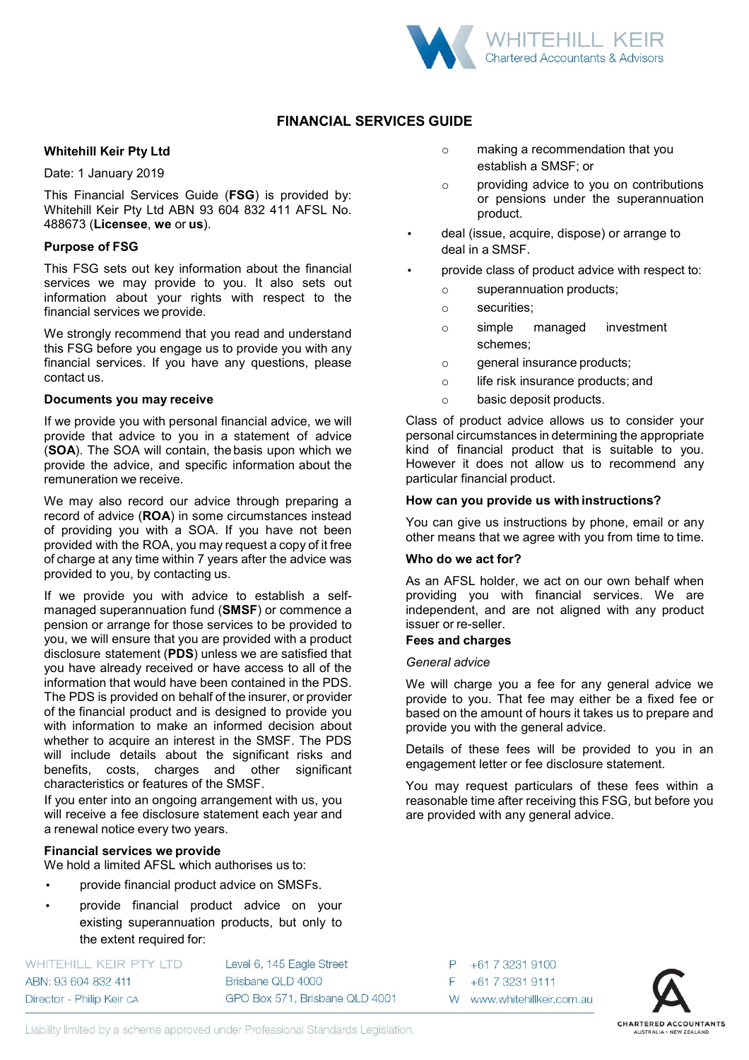

# **FINANCIAL SERVICES GUIDE**

## **Whitehill Keir Pty Ltd**

Date: 1 January 2019

This Financial Services Guide (**FSG**) is provided by: Whitehill Keir Pty Ltd ABN 93 604 832 411 AFSL No. 488673 (**Licensee**, **we** or **us**).

## **Purpose of FSG**

This FSG sets out key information about the financial services we may provide to you. It also sets out information about your rights with respect to the financial services we provide.

We strongly recommend that you read and understand this FSG before you engage us to provide you with any financial services. If you have any questions, please contact us.

## **Documents you may receive**

If we provide you with personal financial advice, we will provide that advice to you in a statement of advice (**SOA**). The SOA will contain, the basis upon which we provide the advice, and specific information about the remuneration we receive.

We may also record our advice through preparing a record of advice (**ROA**) in some circumstances instead of providing you with a SOA. If you have not been provided with the ROA, you may request a copy of it free of charge at any time within 7 years after the advice was provided to you, by contacting us.

If we provide you with advice to establish a selfmanaged superannuation fund (**SMSF**) or commence a pension or arrange for those services to be provided to you, we will ensure that you are provided with a product disclosure statement (**PDS**) unless we are satisfied that you have already received or have access to all of the information that would have been contained in the PDS. The PDS is provided on behalf of the insurer, or provider of the financial product and is designed to provide you with information to make an informed decision about whether to acquire an interest in the SMSF. The PDS will include details about the significant risks and benefits, costs, charges and other significant characteristics or features of the SMSF.

If you enter into an ongoing arrangement with us, you will receive a fee disclosure statement each year and a renewal notice every two years.

## **Financial services we provide**

We hold a limited AFSL which authorises us to:

- provide financial product advice on SMSFs.
- provide financial product advice on your existing superannuation products, but only to the extent required for:

WHITEHILL KEIR PTY LTD ABN: 93 604 832 411 Director - Philip Keir ca

Level 6, 145 Eagle Street Brisbane QLD 4000 GPO Box 571, Brisbane QLD 4001

- o making a recommendation that you establish a SMSF; or
- o providing advice to you on contributions or pensions under the superannuation product.
- deal (issue, acquire, dispose) or arrange to deal in a SMSF.
- provide class of product advice with respect to:
	- o superannuation products;
	- o securities;
	- o simple managed investment schemes;
	- o general insurance products;
	- o life risk insurance products; and
	- o basic deposit products.

Class of product advice allows us to consider your personal circumstances in determining the appropriate kind of financial product that is suitable to you. However it does not allow us to recommend any particular financial product.

#### **How can you provide us with instructions?**

You can give us instructions by phone, email or any other means that we agree with you from time to time.

## **Who do we act for?**

As an AFSL holder, we act on our own behalf when providing you with financial services. We are independent, and are not aligned with any product issuer or re-seller.

## **Fees and charges**

#### *General advice*

P

F

+61 7 3231 9100

+61 7 3231 9111

W www.whitehillkeir.com.au

We will charge you a fee for any general advice we provide to you. That fee may either be a fixed fee or based on the amount of hours it takes us to prepare and provide you with the general advice.

Details of these fees will be provided to you in an engagement letter or fee disclosure statement.

You may request particulars of these fees within a reasonable time after receiving this FSG, but before you are provided with any general advice.



Liability limited by a scheme approved under Professional Standards Legislation.